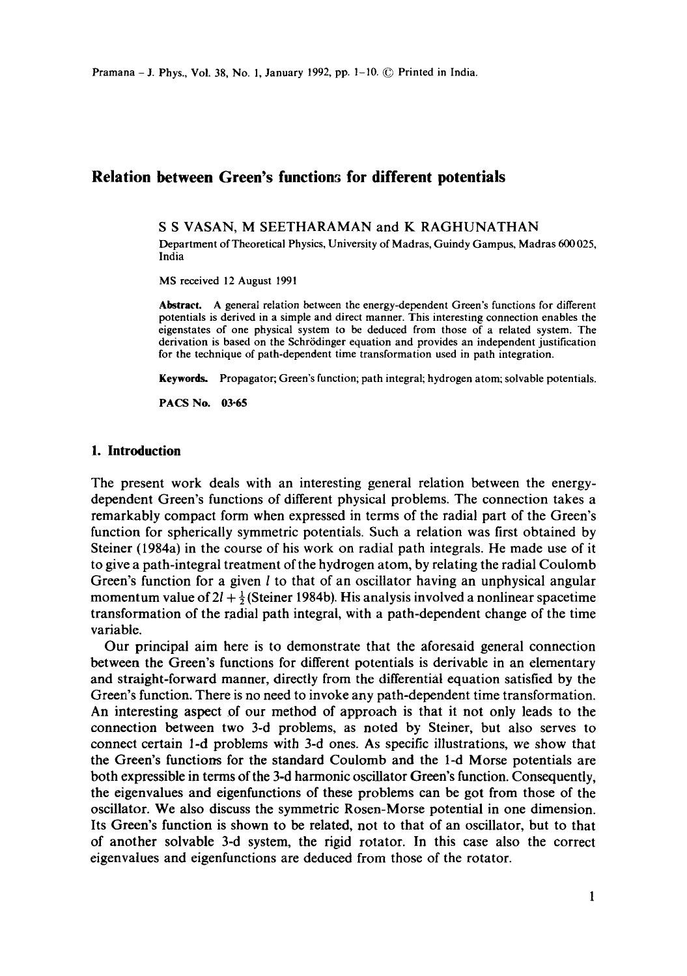# **Relation between Green's functions for different potentials**

S S VASAN, M SEETHARAMAN and K RAGHUNATHAN

Department of Theoretical Physics, University of Madras, Guindy Gampus, Madras 600 025, India

MS received 12 August 1991

**Abstract.** A general relation between the energy-dependent Green's functions for different potentials is derived in a simple and direct manner. This interesting connection enables the eigenstates of one physical system to be deduced from those of a related system. The derivation is based on the Schrrdinger equation and provides an independent justification for the technique of path-dependent time transformation used in path integration.

Keywords. Propagator; Green's function; path integral; hydrogen atom; solvable potentials.

PACS No. 03-65

## **1. Introduction**

The present work deals with an interesting general relation between the energydependent Green's functions of different physical problems. The connection takes a remarkably compact form when expressed in terms of the radial part of the Green's function for spherically symmetric potentials. Such a relation was first obtained by Steiner (1984a) in the course of his work on radial path integrals. He made use of it to give a path-integral treatment of the hydrogen atom, by relating the radial Coulomb Green's function for a given  $l$  to that of an oscillator having an unphysical angular momentum value of  $2l + \frac{1}{2}$  (Steiner 1984b). His analysis involved a nonlinear spacetime transformation of the radial path integral, with a path-dependent change of the time variable.

Our principal aim here is to demonstrate that the aforesaid general connection between the Green's functions for different potentials is derivable in an elementary and straight-forward manner, directly from the differential equation satisfied by the Green's function. There is no need to invoke any path-dependent time transformation. An interesting aspect of our method of approach is that it not only leads to the connection between two 3-d problems, as noted by Steiner, but also serves to connect certain 1-d problems with 3-d ones. As specific illustrations, we show that the Green's functions for the standard Coulomb and the l-d Morse potentials are both expressible in terms of the 3-d harmonic oscillator Green's function. Consequently, the eigenvalues and eigenfunctions of these problems can be got from those of the oscillator. We also discuss the symmetric Rosen-Morse potential in one dimension. Its Green's function is shown to be related, not to that of an oscillator, but to that of another solvable 3-d system, the rigid rotator. In this case also the correct eigenvalues and eigenfunctions are deduced from those of the rotator.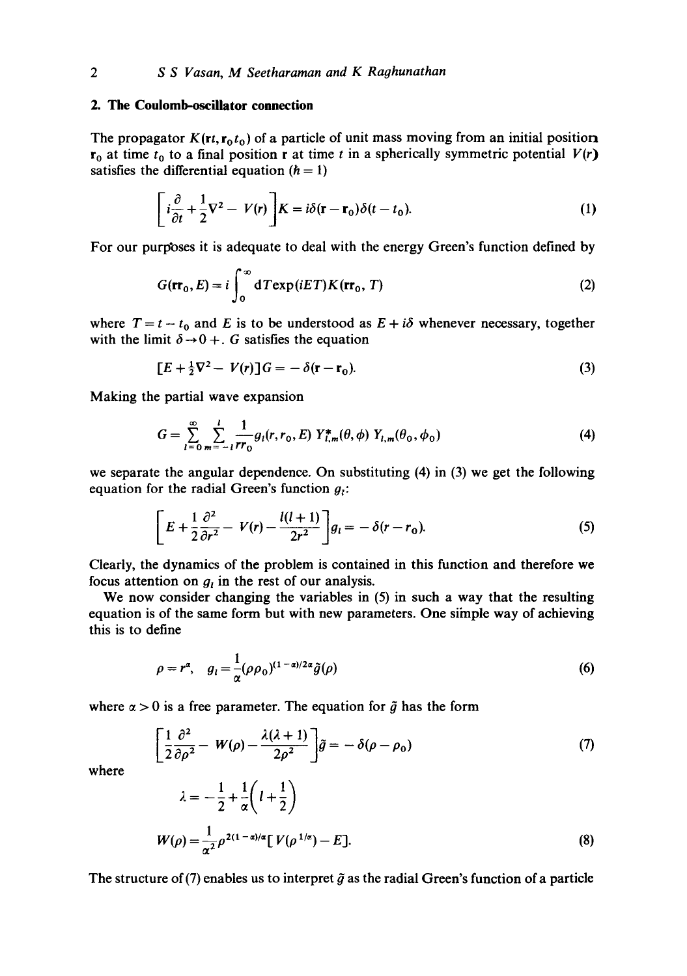## **2. The Coulomb-oscillator connection**

The propagator  $K(\mathbf{r}, \mathbf{r}_0, t_0)$  of a particle of unit mass moving from an initial position  $r_0$  at time  $t_0$  to a final position r at time t in a spherically symmetric potential  $V(r)$ satisfies the differential equation  $(h = 1)$ 

$$
\left[i\frac{\partial}{\partial t} + \frac{1}{2}\nabla^2 - V(r)\right] K = i\delta(\mathbf{r} - \mathbf{r}_0)\delta(t - t_0).
$$
 (1)

For our purposes it is adequate to deal with the energy Green's function defined by

$$
G(\mathbf{rr}_0, E) = i \int_0^\infty dT \exp(iET) K(\mathbf{rr}_0, T)
$$
 (2)

where  $T = t - t_0$  and E is to be understood as  $E + i\delta$  whenever necessary, together with the limit  $\delta \rightarrow 0 +$ . G satisfies the equation

$$
[E + \frac{1}{2}\nabla^2 - V(r)]G = -\delta(\mathbf{r} - \mathbf{r}_0). \tag{3}
$$

Making the partial wave expansion

$$
G = \sum_{l=0}^{\infty} \sum_{m=-l}^{l} \frac{1}{rr_0} g_l(r, r_0, E) Y_{l,m}^{*}(\theta, \phi) Y_{l,m}(\theta_0, \phi_0)
$$
(4)

we separate the angular dependence. On substituting (4) in (3) we get the following equation for the radial Green's function  $g_i$ :

$$
\left[E+\frac{1}{2}\frac{\partial^2}{\partial r^2}-V(r)-\frac{l(l+1)}{2r^2}\right]g_l=-\delta(r-r_0).
$$
\n(5)

Clearly, the dynamics of the problem is contained in this function and therefore we focus attention on  $g_t$  in the rest of our analysis.

We now consider changing the variables in (5) in such a way that the resulting equation is of the same form but with new parameters. One siinple way of achieving this is to define

$$
\rho = r^{\alpha}, \quad g_l = \frac{1}{\alpha} (\rho \rho_0)^{(1-\alpha)/2\alpha} \tilde{g}(\rho) \tag{6}
$$

where  $\alpha > 0$  is a free parameter. The equation for  $\tilde{g}$  has the form

$$
\left[\frac{1}{2}\frac{\partial^2}{\partial \rho^2} - W(\rho) - \frac{\lambda(\lambda + 1)}{2\rho^2}\right]\tilde{g} = -\delta(\rho - \rho_0)
$$
\n(7)

where

$$
\lambda = -\frac{1}{2} + \frac{1}{\alpha} \left( l + \frac{1}{2} \right)
$$
  
 
$$
W(\rho) = \frac{1}{\alpha^2} \rho^{2(1-\alpha)/\alpha} \left[ V(\rho^{1/\alpha}) - E \right].
$$
 (8)

The structure of (7) enables us to interpret  $\tilde{g}$  as the radial Green's function of a particle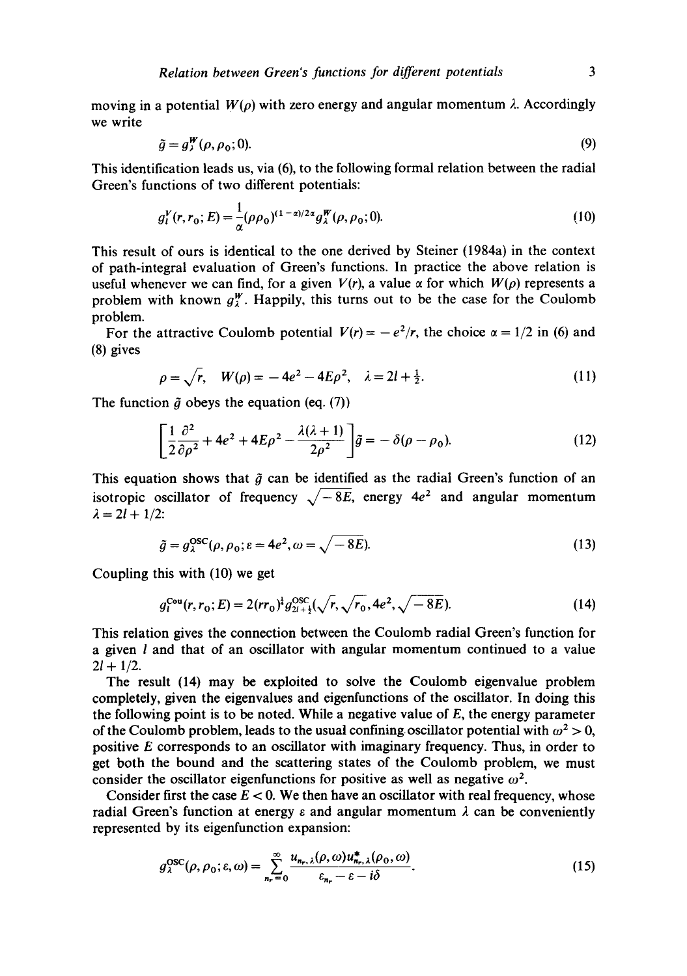moving in a potential  $W(\rho)$  with zero energy and angular momentum  $\lambda$ . Accordingly we write

$$
\tilde{g} = g_i^W(\rho, \rho_0; 0). \tag{9}
$$

This identification leads us, via (6), to the following formal relation between the radial Green's functions of two different potentials:

$$
g_l^V(r, r_0; E) = \frac{1}{\alpha} (\rho \rho_0)^{(1-\alpha)/2\alpha} g_{\lambda}^W(\rho, \rho_0; 0).
$$
 (10)

This result of ours is identical to the one derived by Steiner (1984a) in the context of path-integral evaluation of Green's functions. In practice the above relation is useful whenever we can find, for a given  $V(r)$ , a value  $\alpha$  for which  $W(\rho)$  represents a problem with known  $g_{\lambda}^{W}$ . Happily, this turns out to be the case for the Coulomb problem.

For the attractive Coulomb potential  $V(r) = -e^2/r$ , the choice  $\alpha = 1/2$  in (6) and (8) gives

$$
\rho = \sqrt{r}, \quad W(\rho) = -4e^2 - 4E\rho^2, \quad \lambda = 2l + \frac{1}{2}.
$$
 (11)

The function  $\tilde{g}$  obeys the equation (eq. (7))

$$
\left[\frac{1}{2}\frac{\partial^2}{\partial\rho^2} + 4e^2 + 4E\rho^2 - \frac{\lambda(\lambda + 1)}{2\rho^2}\right]\tilde{g} = -\delta(\rho - \rho_0). \tag{12}
$$

This equation shows that  $\tilde{q}$  can be identified as the radial Green's function of an isotropic oscillator of frequency  $\sqrt{-8E}$ , energy  $4e^2$  and angular momentum  $\lambda = 2l + 1/2$ :

$$
\tilde{g} = g_{\lambda}^{\rm OSC}(\rho, \rho_0; \varepsilon = 4e^2, \omega = \sqrt{-8E}).
$$
\n(13)

Coupling this with (10) we get

$$
g_l^{\text{Cou}}(r, r_0; E) = 2(rr_0)^{\frac{1}{2}} g_{2l + \frac{1}{2}}^{\text{OSC}}(\sqrt{r}, \sqrt{r_0}, 4e^2, \sqrt{-8E}).
$$
\n(14)

This relation gives the connection between the Coulomb radial Green's function for a given  $l$  and that of an oscillator with angular momentum continued to a value  $2l + 1/2$ .

The result (14) may be exploited to solve the Coulomb eigenvalue problem completely, given the eigenvalues and eigenfunctions of the oscillator. In doing this the following point is to be noted. While a negative value of  $E$ , the energy parameter of the Coulomb problem, leads to the usual confining oscillator potential with  $\omega^2 > 0$ , positive E corresponds to an oscillator with imaginary frequency. Thus, in order to get both the bound and the scattering states of the Coulomb problem, we must consider the oscillator eigenfunctions for positive as well as negative  $\omega^2$ .

Consider first the case  $E < 0$ . We then have an oscillator with real frequency, whose radial Green's function at energy  $\varepsilon$  and angular momentum  $\lambda$  can be conveniently represented by its eigenfunction expansion:

$$
g_{\lambda}^{\text{OSC}}(\rho, \rho_0; \varepsilon, \omega) = \sum_{n_r=0}^{\infty} \frac{u_{n_r, \lambda}(\rho, \omega) u_{n_r, \lambda}^*(\rho_0, \omega)}{\varepsilon_{n_r} - \varepsilon - i\delta}.
$$
 (15)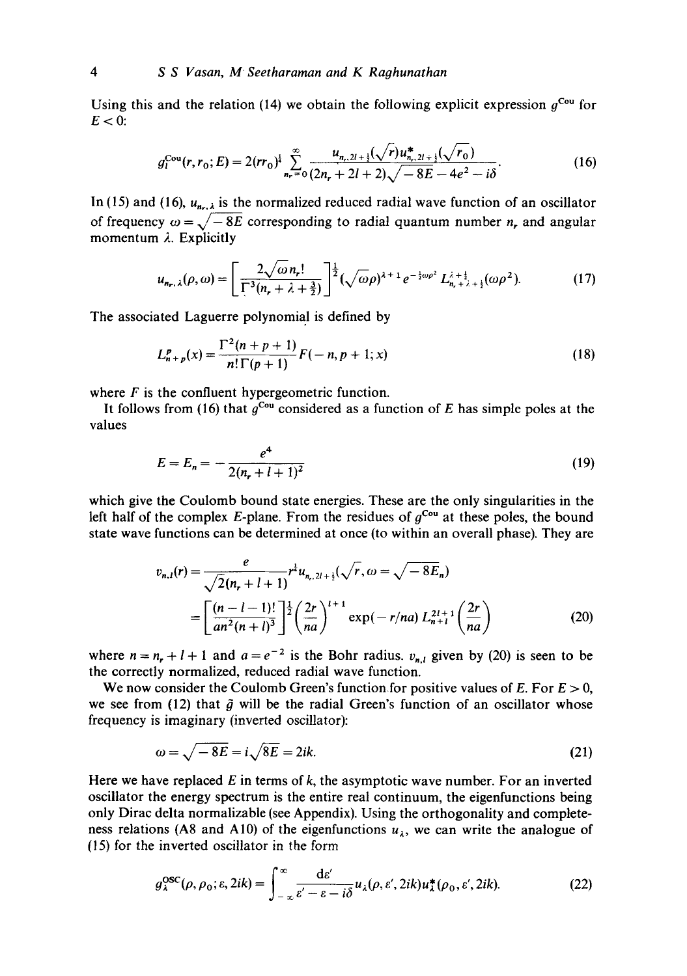Using this and the relation (14) we obtain the following explicit expression  $q^{\text{Cou}}$  for  $E < 0$ :

$$
g_l^{\text{Cou}}(r, r_0; E) = 2(rr_0)^{\frac{1}{4}} \sum_{n_r=0}^{\infty} \frac{u_{n_r, 2l+\frac{1}{2}}(\sqrt{r}) u_{n_r, 2l+\frac{1}{2}}^* (\sqrt{r_0})}{(2n_r + 2l + 2)\sqrt{-8E - 4e^2 - i\delta}}.
$$
(16)

In (15) and (16),  $u_{n}$  is the normalized reduced radial wave function of an oscillator of frequency  $\omega = \sqrt{-8E}$  corresponding to radial quantum number *n*, and angular momentum  $\lambda$ . Explicitly

$$
u_{n_r,\lambda}(\rho,\omega) = \left[\frac{2\sqrt{\omega}n_r!}{\Gamma^3(n_r + \lambda + \frac{3}{2})}\right]^{\frac{1}{2}} (\sqrt{\omega}\rho)^{\lambda+1} e^{-\frac{1}{2}\omega\rho^2} L_{n_r+\lambda+\frac{1}{2}}^{\lambda+\frac{1}{2}}(\omega\rho^2).
$$
 (17)

The associated Laguerre polynomial is defined by

$$
L_{n+p}^p(x) = \frac{\Gamma^2(n+p+1)}{n!\Gamma(p+1)}F(-n, p+1; x)
$$
\n(18)

where  $F$  is the confluent hypergeometric function.

It follows from (16) that  $g^{\text{Cou}}$  considered as a function of E has simple poles at the values

$$
E = E_n = -\frac{e^4}{2(n_r + l + 1)^2} \tag{19}
$$

which give the Coulomb bound state energies. These are the only singularities in the left half of the complex E-plane. From the residues of  $g^{\text{Cou}}$  at these poles, the bound state wave functions can be determined at once (to within an overall phase). They are

$$
v_{n,l}(r) = \frac{e}{\sqrt{2}(n_r + l + 1)} r^{\frac{1}{2}} u_{n,2l + \frac{1}{2}}(\sqrt{r}, \omega = \sqrt{-8E_n})
$$
  
= 
$$
\left[ \frac{(n - l - 1)!}{an^2(n + l)^3} \right]^{\frac{1}{2}} \left( \frac{2r}{na} \right)^{l + 1} \exp(-r/na) L_{n + l}^{2l + 1} \left( \frac{2r}{na} \right)
$$
 (20)

where  $n = n_r + l + 1$  and  $a = e^{-2}$  is the Bohr radius,  $v_{n,l}$  given by (20) is seen to be the correctly normalized, reduced radial wave function.

We now consider the Coulomb Green's function for positive values of E. For  $E > 0$ , we see from (12) that  $\tilde{g}$  will be the radial Green's function of an oscillator whose frequency is imaginary (inverted oscillator):

$$
\omega = \sqrt{-8E} = i\sqrt{8E} = 2ik.\tag{21}
$$

Here we have replaced  $E$  in terms of  $k$ , the asymptotic wave number. For an inverted oscillator the energy spectrum is the entire real continuum, the eigenfunctions being only Dirac delta normalizable (see Appendix). Using the orthogonality and completeness relations (A8 and A10) of the eigenfunctions  $u_{\lambda}$ , we can write the analogue of (15) for the inverted oscillator in the form

$$
g_{\lambda}^{\text{OSC}}(\rho, \rho_0; \varepsilon, 2ik) = \int_{-\infty}^{\infty} \frac{\mathrm{d}\varepsilon'}{\varepsilon' - \varepsilon - i\delta} u_{\lambda}(\rho, \varepsilon', 2ik) u_{\lambda}^{*}(\rho_0, \varepsilon', 2ik). \tag{22}
$$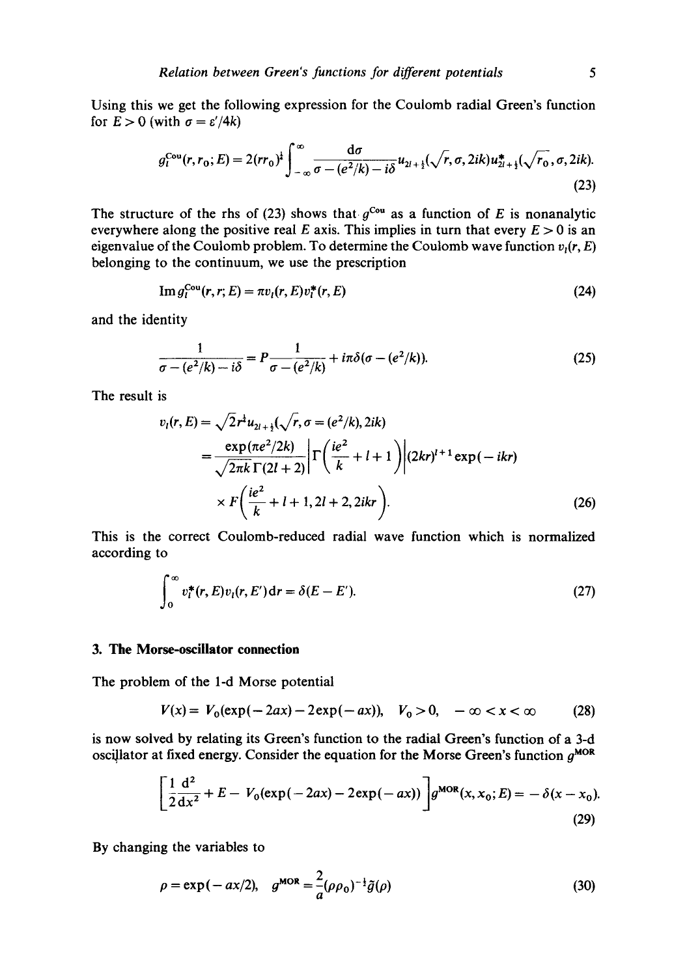Using this we get the following expression for the Coulomb radial Green's function for  $E > 0$  (with  $\sigma = \varepsilon'/4k$ )

$$
g_l^{\text{Cou}}(r, r_0; E) = 2(rr_0)^{\frac{1}{4}} \int_{-\infty}^{\infty} \frac{d\sigma}{\sigma - (e^2/k) - i\delta} u_{2l + \frac{1}{2}}(\sqrt{r}, \sigma, 2ik) u_{2l + \frac{1}{2}}^{\frac{1}{2}}(\sqrt{r_0}, \sigma, 2ik).
$$
\n(23)

The structure of the rhs of (23) shows that  $g^{Cou}$  as a function of E is nonanalytic everywhere along the positive real E axis. This implies in turn that every  $E > 0$  is an eigenvalue of the Coulomb problem. To determine the Coulomb wave function  $v_1(r, E)$ belonging to the continuum, we use the prescription

$$
\operatorname{Im} g_l^{\operatorname{Cou}}(r, r; E) = \pi v_l(r, E) v_l^*(r, E) \tag{24}
$$

and the identity

$$
\frac{1}{\sigma - (e^2/k) - i\delta} = P \frac{1}{\sigma - (e^2/k)} + i\pi \delta(\sigma - (e^2/k)).
$$
\n(25)

The result is

$$
v_{l}(r, E) = \sqrt{2}r^{2}u_{2l+1}(\sqrt{r}, \sigma = (e^{2}/k), 2ik)
$$
  
= 
$$
\frac{\exp(\pi e^{2}/2k)}{\sqrt{2\pi k}\Gamma(2l+2)} \Big|\Gamma\left(\frac{ie^{2}}{k} + l + 1\right)\Big|(2kr)^{l+1}\exp(-ikr)\Big|
$$
  

$$
\times F\left(\frac{ie^{2}}{k} + l + 1, 2l + 2, 2ikr\right).
$$
 (26)

This is the correct Coulomb-reduced radial wave function which is normalized according to

$$
\int_0^\infty v_t^*(r, E)v_t(r, E')\,\mathrm{d}r = \delta(E - E').\tag{27}
$$

#### **3. The Morse-oscillator connection**

The problem of the 1-d Morse potential

$$
V(x) = V_0(\exp(-2ax) - 2\exp(-ax)), \quad V_0 > 0, \quad -\infty < x < \infty \tag{28}
$$

is now solved by relating its Green's function to the radial Green's function of a 3-d oscillator at fixed energy. Consider the equation for the Morse Green's function  $g^{MOR}$ 

$$
\left[\frac{1}{2}\frac{d^2}{dx^2} + E - V_0(\exp(-2ax) - 2\exp(-ax))\right]g^{\text{MOR}}(x, x_0; E) = -\delta(x - x_0).
$$
\n(29)

By changing the variables to

$$
\rho = \exp(-ax/2), \quad g^{\text{MOR}} = \frac{2}{a} (\rho \rho_0)^{-\frac{1}{2}} \tilde{g}(\rho) \tag{30}
$$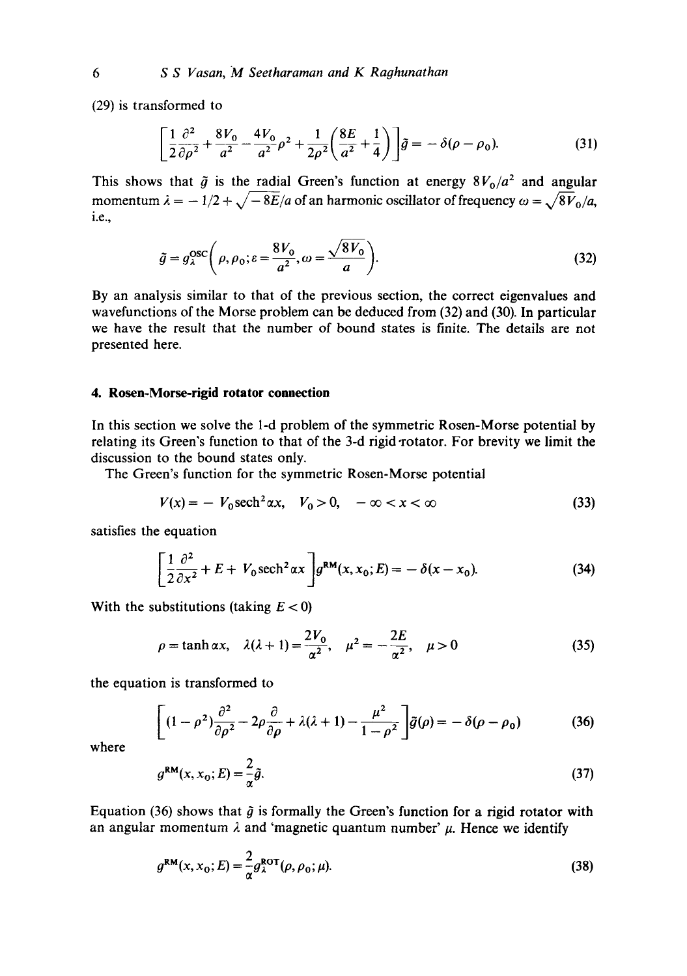(29) is transformed to

$$
\left[\frac{1}{2}\frac{\partial^2}{\partial\rho^2} + \frac{8V_0}{a^2} - \frac{4V_0}{a^2}\rho^2 + \frac{1}{2\rho^2} \left(\frac{8E}{a^2} + \frac{1}{4}\right)\right] \tilde{g} = -\delta(\rho - \rho_0). \tag{31}
$$

This shows that  $\tilde{g}$  is the radial Green's function at energy  $8V_0/a^2$  and angular momentum  $\lambda = -1/2 + \sqrt{-8E/a}$  of an harmonic oscillator of frequency  $\omega = \sqrt{8V_0/a}$ , i.e.,

$$
\tilde{g} = g_{\lambda}^{\text{osc}}\bigg(\rho, \rho_0; \varepsilon = \frac{8V_0}{a^2}, \omega = \frac{\sqrt{8V_0}}{a}\bigg). \tag{32}
$$

By an analysis similar to that of the previous section, the correct eigenvalues and wavefunctions of the Morse problem can be deduced from (32) and (30). In particular we have the result that the number of bound states is finite. The details are not presented here.

#### **4. Rosen-Morse-rigid rotator connection**

In this section we solve the 1-d problem of the symmetric Rosen-Morse potential by relating its Green's function to that of the 3-d rigid rotator. For brevity we limit the discussion to the bound states only.

The Green's function for the symmetric Rosen-Morse potential

$$
V(x) = -V_0 \operatorname{sech}^2 \alpha x, \quad V_0 > 0, \quad -\infty < x < \infty \tag{33}
$$

satisfies the equation

$$
\left[\frac{1}{2}\frac{\partial^2}{\partial x^2} + E + V_0 \operatorname{sech}^2 \alpha x \right] g^{\text{RM}}(x, x_0; E) = -\delta(x - x_0). \tag{34}
$$

With the substitutions (taking  $E < 0$ )

$$
\rho = \tanh \alpha x, \quad \lambda(\lambda + 1) = \frac{2V_0}{\alpha^2}, \quad \mu^2 = -\frac{2E}{\alpha^2}, \quad \mu > 0
$$
\n(35)

the equation is transformed to

$$
\left[ (1 - \rho^2) \frac{\partial^2}{\partial \rho^2} - 2\rho \frac{\partial}{\partial \rho} + \lambda(\lambda + 1) - \frac{\mu^2}{1 - \rho^2} \right] \tilde{g}(\rho) = -\delta(\rho - \rho_0)
$$
 (36)

where

$$
g^{\rm RM}(x, x_0; E) = \frac{2}{\alpha} \tilde{g}.
$$
\n(37)

Equation (36) shows that  $\tilde{g}$  is formally the Green's function for a rigid rotator with an angular momentum  $\lambda$  and 'magnetic quantum number'  $\mu$ . Hence we identify

$$
g^{\text{RM}}(x, x_0; E) = \frac{2}{\alpha} g^{\text{ROT}}_{\lambda}(\rho, \rho_0; \mu).
$$
 (38)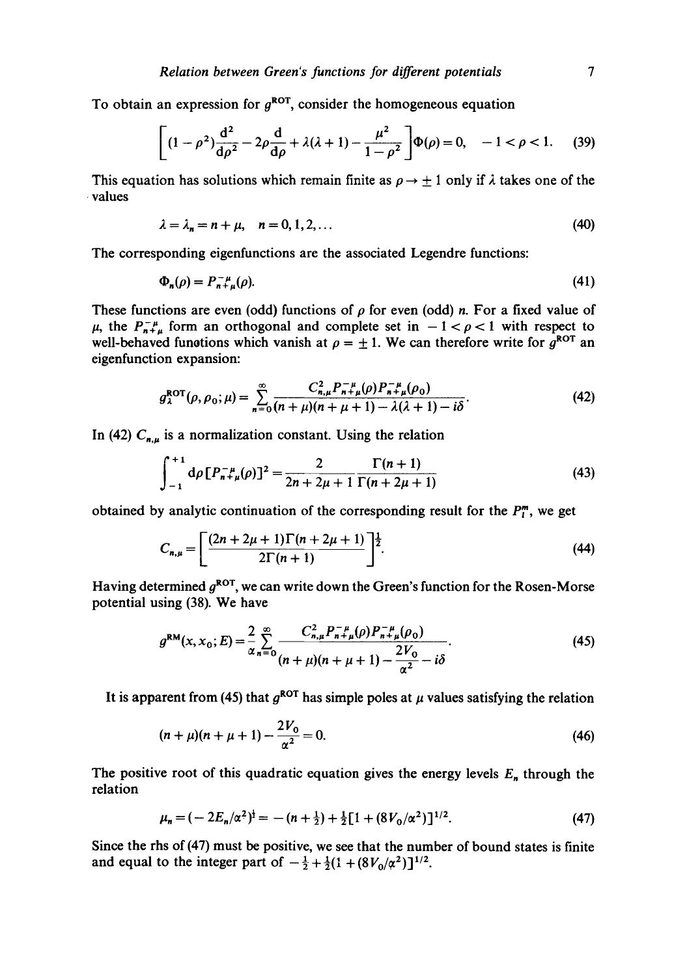To obtain an expression for  $g^{ROT}$ , consider the homogeneous equation

$$
\left[ (1 - \rho^2) \frac{d^2}{d\rho^2} - 2\rho \frac{d}{d\rho} + \lambda(\lambda + 1) - \frac{\mu^2}{1 - \rho^2} \right] \Phi(\rho) = 0, \quad -1 < \rho < 1. \tag{39}
$$

This equation has solutions which remain finite as  $\rho \rightarrow \pm 1$  only if  $\lambda$  takes one of the • values

$$
\lambda = \lambda_n = n + \mu, \quad n = 0, 1, 2, \dots \tag{40}
$$

The corresponding eigenfunctions are the associated Legendre functions:

$$
\Phi_n(\rho) = P_{n+\mu}^{-\mu}(\rho). \tag{41}
$$

These functions are even (odd) functions of  $\rho$  for even (odd) *n*. For a fixed value of  $\mu$ , the  $P_{n+\mu}^{-\mu}$  form an orthogonal and complete set in  $-1 < \rho < 1$  with respect to well-behaved functions which vanish at  $\rho = \pm 1$ . We can therefore write for  $g^{\rm ROT}$  an eigenfunction expansion:

$$
g_{\lambda}^{\text{ROT}}(\rho, \rho_0; \mu) = \sum_{n=0}^{\infty} \frac{C_{n,\mu}^2 P_{n+\mu}^{-\mu}(\rho) P_{n+\mu}^{-\mu}(\rho_0)}{(n+\mu)(n+\mu+1) - \lambda(\lambda+1) - i\delta}.
$$
 (42)

In (42)  $C_{n,\mu}$  is a normalization constant. Using the relation

$$
\int_{-1}^{+1} d\rho \left[ P_{n+\mu}^{-\mu}(\rho) \right]^2 = \frac{2}{2n+2\mu+1} \frac{\Gamma(n+1)}{\Gamma(n+2\mu+1)} \tag{43}
$$

obtained by analytic continuation of the corresponding result for the  $P_l^m$ , we get

$$
C_{n,\mu} = \left[ \frac{(2n+2\mu+1)\Gamma(n+2\mu+1)}{2\Gamma(n+1)} \right]^{\frac{1}{2}}.
$$
 (44)

Having determined  $g^{ROT}$ , we can write down the Green's function for the Rosen-Morse potential using (38). We have

$$
g^{\text{RM}}(x, x_0; E) = \frac{2}{\alpha} \sum_{n=0}^{\infty} \frac{C_{n,\mu}^2 P_{n+\mu}^{ - \mu}(\rho) P_{n+\mu}^{ - \mu}(\rho_0)}{(n+\mu)(n+\mu+1) - \frac{2V_0}{\alpha^2} - i\delta}.
$$
 (45)

It is apparent from (45) that  $g^{ROT}$  has simple poles at  $\mu$  values satisfying the relation

$$
(n+\mu)(n+\mu+1) - \frac{2V_0}{\alpha^2} = 0.
$$
\n(46)

The positive root of this quadratic equation gives the energy levels  $E_n$  through the relation

$$
\mu_n = (-2E_n/\alpha^2)^{\frac{1}{2}} = -(n+\frac{1}{2}) + \frac{1}{2} [1 + (8V_0/\alpha^2)]^{1/2}.
$$
 (47)

Since the rhs of (47) must be positive, we see that the number of bound states is finite and equal to the integer part of  $-\frac{1}{2} + \frac{1}{2}(1 + (8V_0/\alpha^2))^{1/2}$ .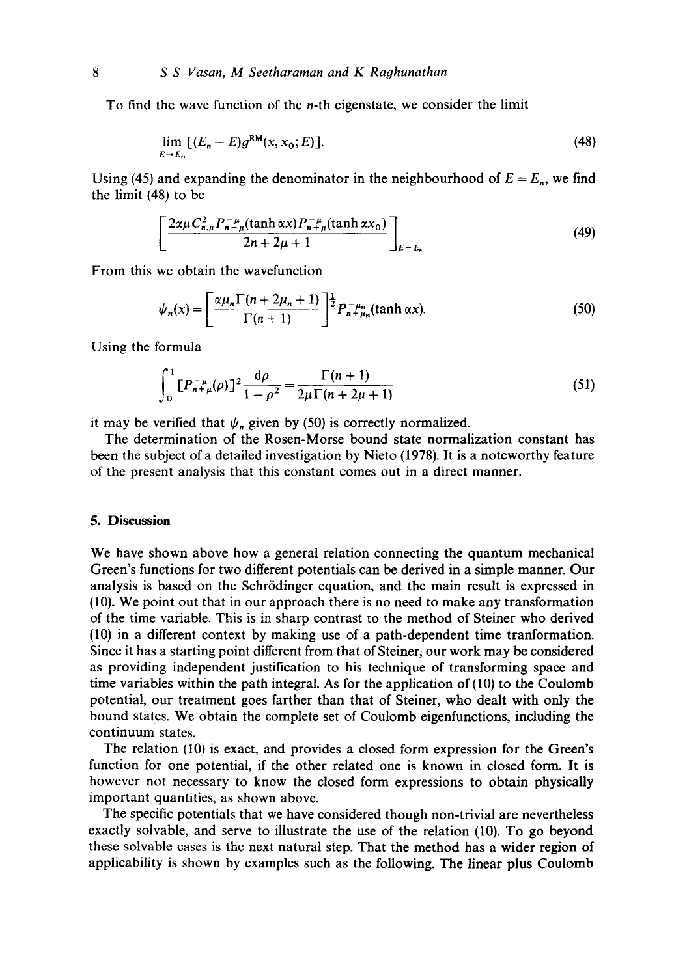To find the wave function of the n-th eigenstate, we consider the limit

$$
\lim_{E \to E_n} \left[ (E_n - E) g^{\text{RM}}(x, x_0; E) \right]. \tag{48}
$$

Using (45) and expanding the denominator in the neighbourhood of  $E = E_n$ , we find the limit (48) to be

$$
\left[\frac{2\alpha\mu C_{n,\mu}^{2} P_{n+\mu}^{-\mu}(\tanh\alpha x) P_{n+\mu}^{-\mu}(\tanh\alpha x_{0})}{2n+2\mu+1}\right]_{E=E_{n}}
$$
\n(49)

From this we obtain the wavefunction

$$
\psi_n(x) = \left[\frac{\alpha \mu_n \Gamma(n + 2\mu_n + 1)}{\Gamma(n + 1)}\right]^{\frac{1}{2}} P_{n + \mu_n}^{-\mu_n}(\tanh \alpha x). \tag{50}
$$

Using the formula

$$
\int_0^1 [P_{n+\mu}^{-\mu}(\rho)]^2 \frac{\mathrm{d}\rho}{1-\rho^2} = \frac{\Gamma(n+1)}{2\mu \Gamma(n+2\mu+1)}\tag{51}
$$

it may be verified that  $\psi_n$  given by (50) is correctly normalized.

The determination of the Rosen-Morse bound state normalization constant has been the subject of a detailed investigation by Nieto (1978). It is a noteworthy feature of the present analysis that this constant comes out in a direct manner.

#### **5. Discussion**

We have shown above how a general relation connecting the quantum mechanical Green's functions for two different potentials can be derived in a simple manner. Our analysis is based on the Schrrdinger equation, and the main result is expressed in (10). We point out that in our approach there is no need to make any transformation of the time variable. This is in sharp contrast to the method of Steiner who derived (10) in a different context by making use of a path-dependent time tranformation. Since it has a starting point different from that of Steiner, our work may be considered as providing independent justification to his technique of transforming space and time variables within the path integral. As for the application of (10) to the Coulomb potential, our treatment goes farther than that of Steiner, who dealt with only the bound states. We obtain the complete set of Coulomb eigenfunctions, including the continuum states.

The relation (I0) is exact, and provides a dosed form expression for the Green's function for one potential, if the other related one is known in closed form. It is however not necessary to know the closed form expressions to obtain physically important quantities, as shown above.

The specific potentials that we have considered though non-trivial are nevertheless exactly solvable, and serve to illustrate the use of the relation (10). To go beyond these solvable cases is the next natural step. That the method has a wider region of applicability is shown by examples such as the following. The linear plus Coulomb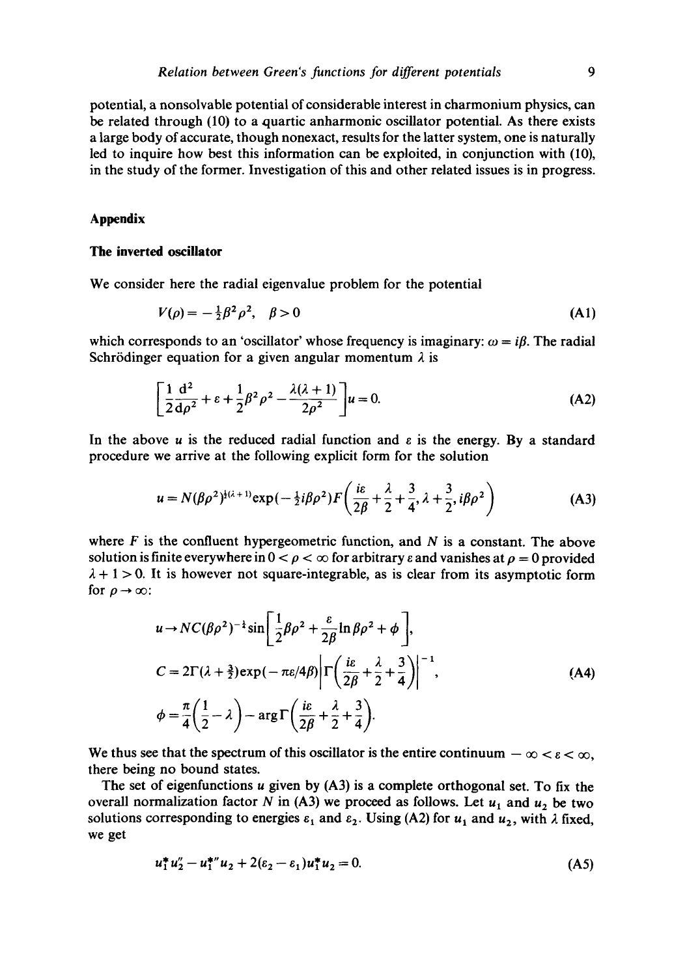potential, a nonsolvable potential of considerable interest in charmonium physics, can be related through (10) to a quartic anharmonic oscillator potential. As there exists a large body of accurate, though nonexact, results for the latter system, one is naturally led to inquire how best this information can be exploited, in conjunction with (10), in the study of the former. Investigation of this and other related issues is in progress.

## **Appendix**

### **The inverted oscillator**

We consider here the radial eigenvalue problem for the potential

$$
V(\rho) = -\frac{1}{2}\beta^2 \rho^2, \quad \beta > 0
$$
 (A1)

which corresponds to an 'oscillator' whose frequency is imaginary:  $\omega = i\beta$ . The radial Schrödinger equation for a given angular momentum  $\lambda$  is

$$
\left[\frac{1}{2}\frac{d^2}{d\rho^2} + \varepsilon + \frac{1}{2}\beta^2\rho^2 - \frac{\lambda(\lambda + 1)}{2\rho^2}\right]u = 0.
$$
 (A2)

In the above  $u$  is the reduced radial function and  $\varepsilon$  is the energy. By a standard procedure we arrive at the following explicit form for the solution

$$
u = N(\beta \rho^2)^{\frac{1}{2}(\lambda+1)} \exp(-\frac{1}{2}i\beta \rho^2) F\left(\frac{i\epsilon}{2\beta} + \frac{\lambda}{2} + \frac{3}{4}, \lambda + \frac{3}{2}, i\beta \rho^2\right)
$$
 (A3)

where  $F$  is the confluent hypergeometric function, and  $N$  is a constant. The above solution is finite everywhere in  $0 < \rho < \infty$  for arbitrary e and vanishes at  $\rho = 0$  provided  $\lambda + 1 > 0$ . It is however not square-integrable, as is clear from its asymptotic form for  $\rho \rightarrow \infty$ :

$$
u \to NC(\beta \rho^2)^{-\frac{1}{4}} \sin\left[\frac{1}{2}\beta \rho^2 + \frac{\varepsilon}{2\beta} \ln \beta \rho^2 + \phi\right],
$$
  
\n
$$
C = 2\Gamma(\lambda + \frac{3}{2}) \exp(-\pi \varepsilon/4\beta) \left| \Gamma\left(\frac{i\varepsilon}{2\beta} + \frac{\lambda}{2} + \frac{3}{4}\right) \right|^{-1},
$$
  
\n
$$
\phi = \frac{\pi}{4} \left(\frac{1}{2} - \lambda\right) - \arg \Gamma\left(\frac{i\varepsilon}{2\beta} + \frac{\lambda}{2} + \frac{3}{4}\right).
$$
 (A4)

We thus see that the spectrum of this oscillator is the entire continuum  $-\infty < \varepsilon < \infty$ , there being no bound states.

The set of eigenfunctions u given by (A3) is a complete orthogonal set. To fix the overall normalization factor N in (A3) we proceed as follows. Let  $u_1$  and  $u_2$  be two solutions corresponding to energies  $\varepsilon_1$  and  $\varepsilon_2$ . Using (A2) for  $u_1$  and  $u_2$ , with  $\lambda$  fixed, we get

$$
u_1^* u_2'' - u_1^{**} u_2 + 2(\varepsilon_2 - \varepsilon_1) u_1^* u_2 = 0. \tag{A5}
$$